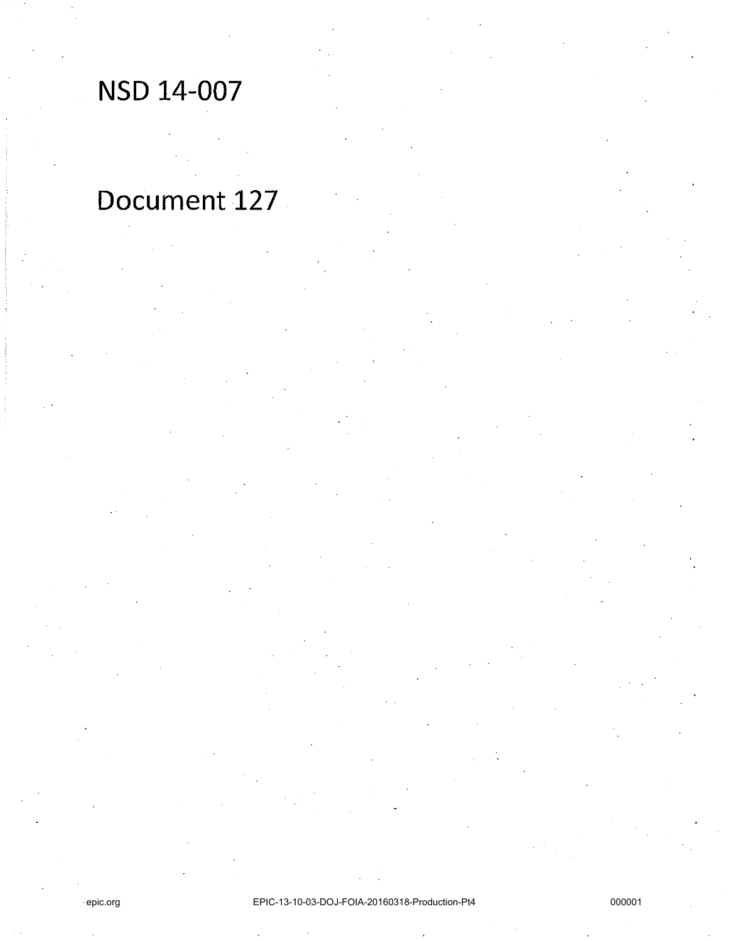# NSD 14-007

# Document 127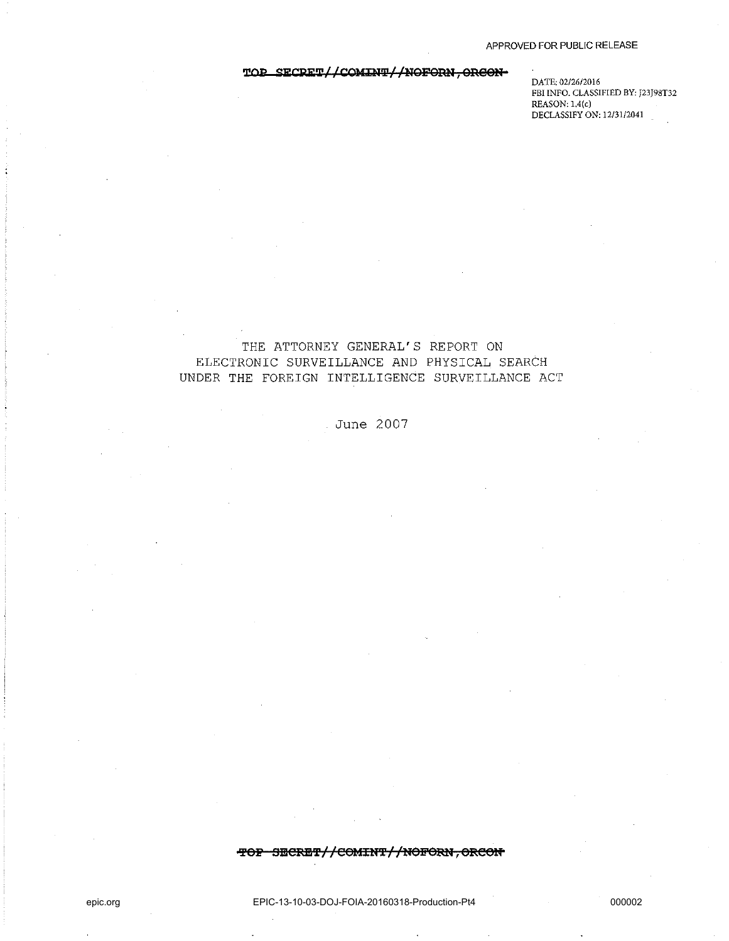### TOP SECRET//COMINT//NOFORN, ORGON-

**DATE: 02/26/2016 FBI INFO. CLASSIFIED BY: J23J98T32 REASON: L4(c) DECLASSIFY ON: 12/31/2041** 

# THE ATTORNEY GENERAL'S REPORT ON ELECTRONIC SURVEILLANCE AND PHYSICAL SEARCH UNDER THE FOREIGN INTELLIGENCE SURVEILLANCE ACT

June 2007

#### **'Pep SSCRE'f//eOlfIUT//NOFORN,OReeN**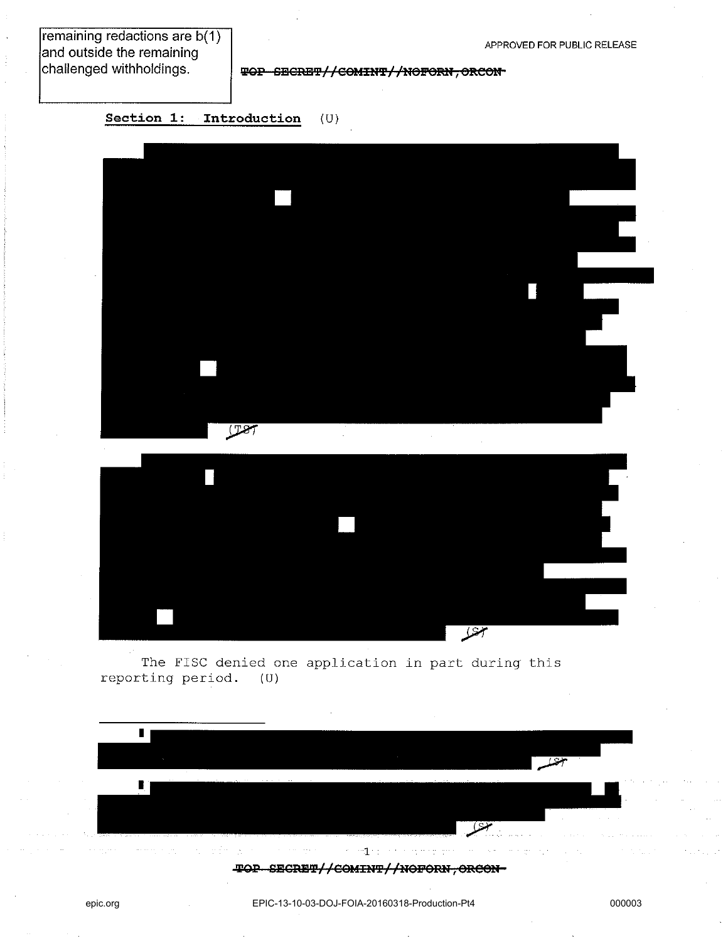remaining redactions are b(1) and outside the remaining challenged withholdings.

APPROVED FOR PUBLIC RELEASE

**TOP SECRET//COMINT//NOFORN, ORCON-**

**Section 1: Introduction** (U)



 $\overline{\mathscr{L}}$ 

The FISC denied one application in part during this<br>ting period. (U) reporting period.



epic.org EPIC-13-10-03-DOJ-FOIA-20160318-Production-Pt4 000003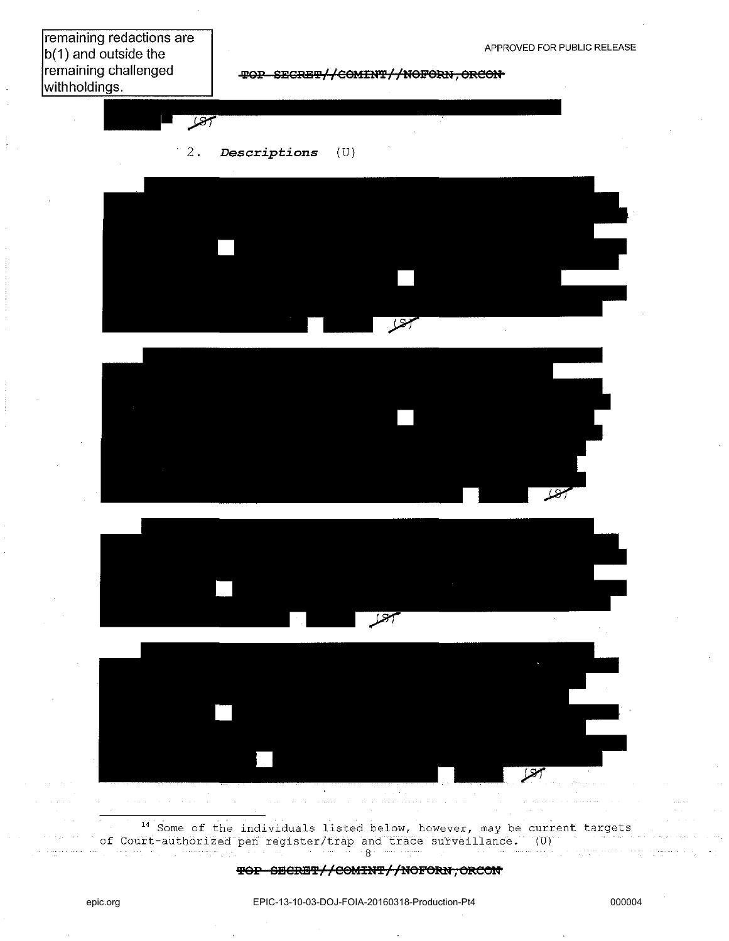remaining redactions are  $|b(1)$  and outside the remaining challenged withholdings.







<sup>14</sup> Some of the individuals listed below, however, may be current targets of Court-authorized pen register/trap and trace surveillance.  $(0)$  $\mathcal{B}$ 

#### TOP SECRET//COMINT//NOFORN, ORCON

 $\sqrt{2}$  and  $\sqrt{2}$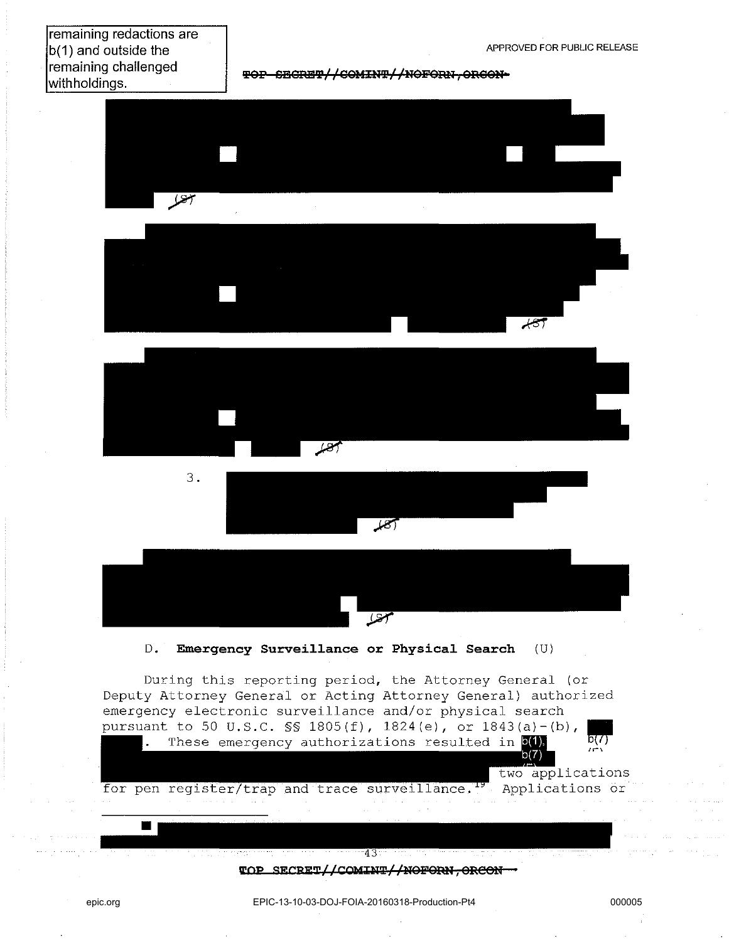# remaining redactions are b(1) and outside the remaining challenged withholdings.

**TOP SECRET//COMINT//NOFORN.ORGON-**











D. **Emergency Surveillance or Physical Search** (U)

During this reporting period, the Attorney General (or Deputy Attorney General or Acting Attorney General) authorized emergency electronic surveillance and/or physical search pursuant to 50 U.S.C.  $\frac{1805(f)}{f}$ , 1824(e), or 1843(a)-(b),

. These emergency authorizations resulted in  $\frac{b(1)}{b(7)}$ 

two applications

for pen register/trap and trace surveillance.<sup>19</sup> Applications or

> $43$ **WOP SECRET//COMINT//NOFORN, ORCON-**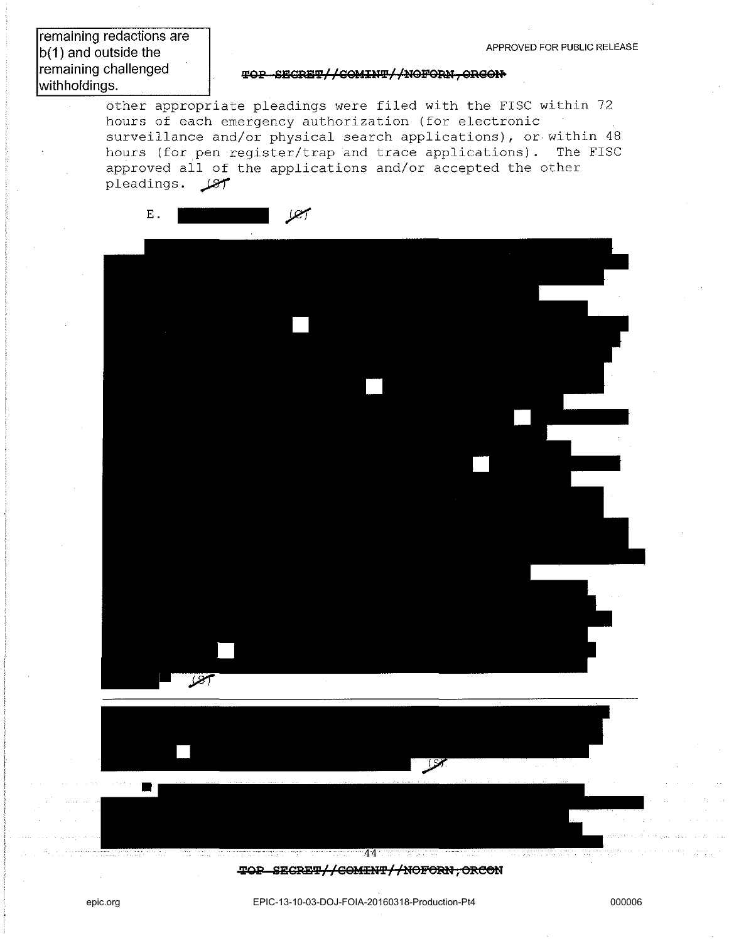remaining redactions are  $b(1)$  and outside the remaining challenged withholdings.

#### $\texttt{TOP-SECREFL}/\texttt{COMINT}/\texttt{/NOFORN}$ . ORGON

other appropriate pleadings were filed with the FISC within 72 hours of each emergency authorization (for electronic surveillance and/or physical search applications), or within 48 hours (for pen register/trap and trace applications). The FISC approved all of the applications and/or accepted the other pleadings.  $\mathscr{L}$ 



**TOP SECRET//COMINT//NOFORN, ORCON**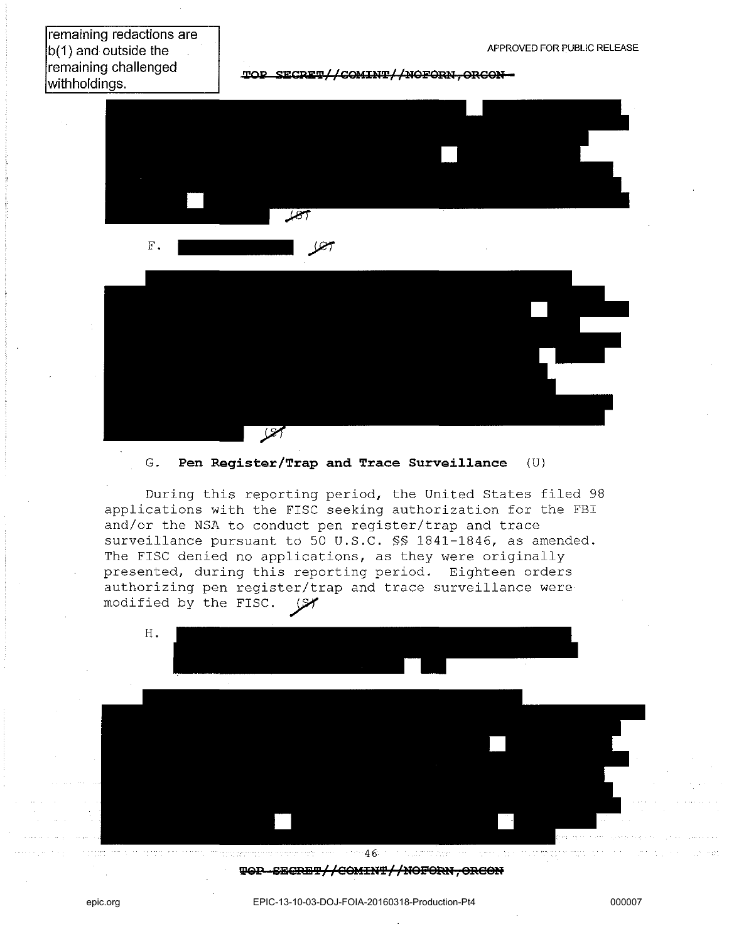remaining redactions are b(1) and outside the remaining challenged withholdings.

 $TOP$  SECPET // COMINT //NOFORN, ORGON -





# G. **Pen Register/Trap and Trace Surveillance** (U)

During this reporting period, the United States filed 98 applications with the FISC seeking authorization for the FBI and/or the NSA to conduct pen register/trap and trace surveillance pursuant to 50 U.S.C. §§ 1841-1846, as amended. The FISC denied no applications, as they were originally presented, during this reporting period. Eighteen orders authorizing pen register/trap and trace surveillance were modified by the FISC.  $\sqrt{3}$ 



#### $\text{WOP}-\text{SEGREP}/\text{/GOMINT}/\text{/NGFORN, ORCOM}$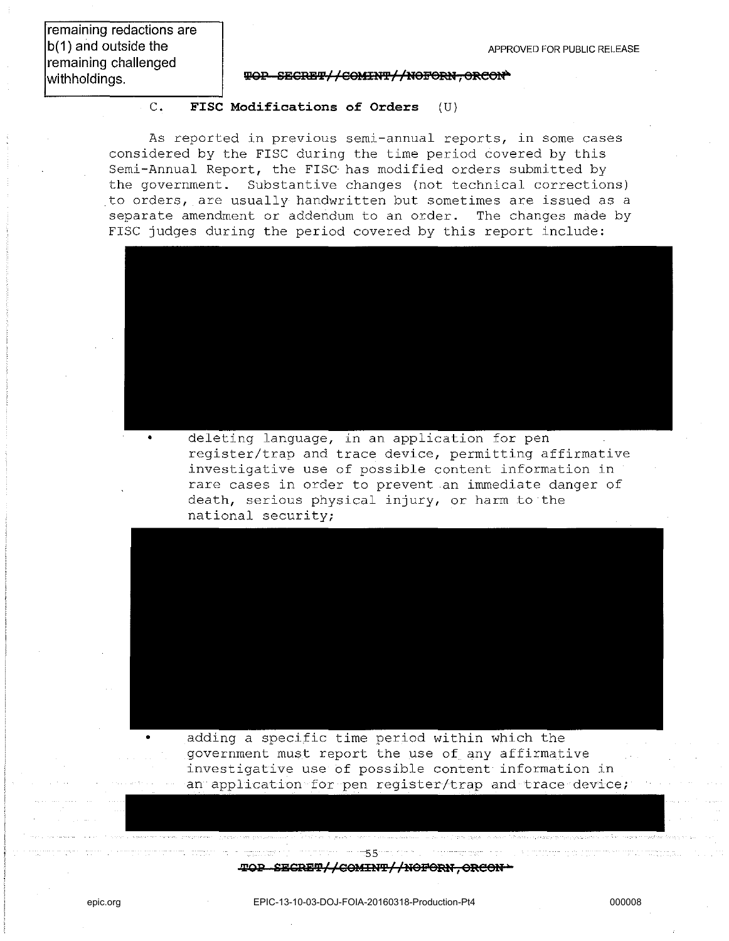remaining redactions are b(1) and outside the remaining challenged withholdings.

#### $\overline{\Psi}$ **QP SECRET//COMINT//NOFORN, ORCON**

# c. **FISC Modifications of Orders** (U)

As reported in previous semi-annual reports, in some cases considered by the FISC during the time period covered by this Semi-Annual Report, the FISC has modified orders submitted by the government. Substantive changes (not technical corrections) to orders, are usually handwritten but sometimes are issued as a separate amendment or addendum to an order. The changes made by FISC judges during the period covered by this report include:



deleting language, in an application for pen register/trap and trace device, permitting affirmative investigative use of possible content information in rare cases in order to prevent an immediate danger of death, serious physical injury, or harm to the national security;



adding a specific time period within which the government must report the use of any affirmative investigative use of possible content information in an application for pen register/trap and trace device;

#### 1111551 **,\*,QP SESRE'I'/ /09UIU'P/ "nOpeRt' , ORCeU )**

epic.org EPIC-13-10-03-DOJ-FOIA-20160318-Production-Pt4 000008

 $\mathcal{A}$  , and the set of  $\mathcal{A}$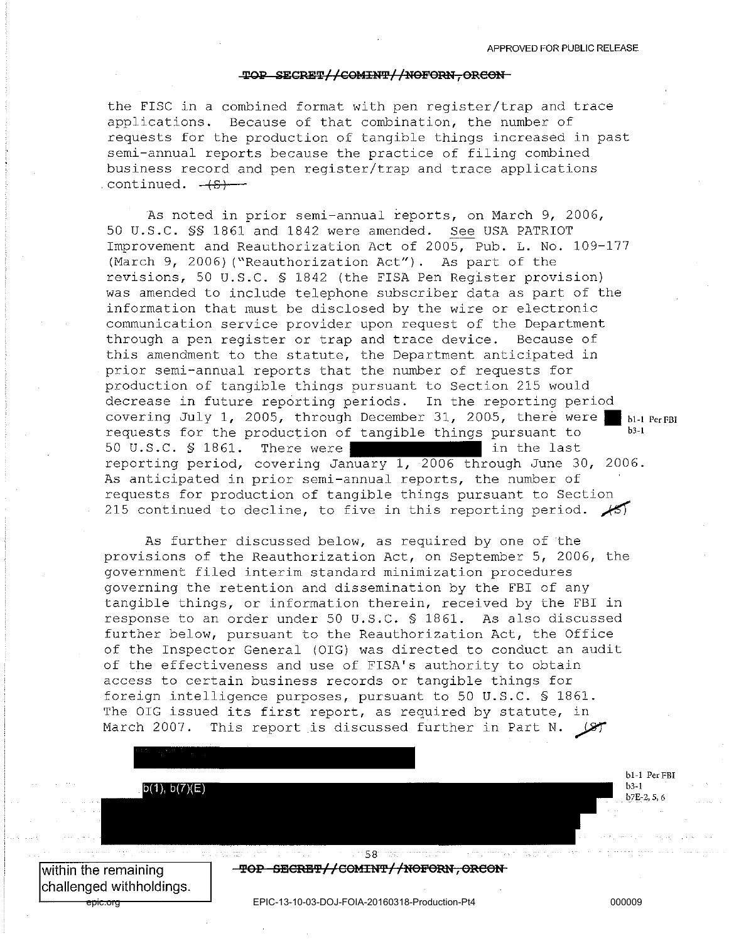#### TOP SECRET//COMINT//NOFORN, ORCON

the FISC in a combined format with pen register/trap and trace applications. Because of that combination, the number of requests for the production of tangible things increased in past semi-annual reports because the practice of filing combined business record and pen register/trap and trace applications continued.  $-(S)$ 

As noted in prior semi-annual reports, on March 9, 2006, 50 U.S.C. §§ 1861 and 1842 were amended. See USA PATRIOT Improvement and Reauthorization Act of 2005, Pub. L. No. 109-177 (March 9, 2006) ("Reauthorization Act"). As part of the revisions, 50 U.S.C. § 1842 (the FISA Pen Reglster provision) was amended to include telephone subscriber data as part of the information that must be disclosed by the wire or electronic communication service provider upon request of the Department through a pen register or trap and trace device. Because of this amendment to the statute, the Department anticipated in prior semi-annual reports that the number of requests for production of tangible things pursuant to Section 215 would decrease in future reporting periods. In the reporting period covering July 1, 2005, through December 31, 2005, there were  $\blacksquare$  bl-l Per FBI requests for the production of tangible things pursuant to 50 U.S.C. § 1861. There were in the last reporting period, covering January 1, 2006 through June 30, 2006. As anticipated in prior semi-annual reports, the number of requests for production of tangible things pursuant to Section 215 continued to decline, to five in this reporting period.  $\sqrt{5}$ 

As further discussed below, as required by one of the provisions of the Reauthorization Act, on September 5, 2006, the government filed interim standard minimization procedures governing the retention and dissemination by the FBI of any tangible things, or information therein, received by the FBI in response to an order under 50 U.S.C. § 1861. As also discussed further below, pursuant to the Reauthorization Act, the Office of the Inspector General (OIG) was directed to conduct an audit of the effectiveness and use of FISA's authority to obtain access to certain business records or tangible things for foreign intelligence purposes, pursuant to 50 U.S.C. § 1861. The OIG issued its first report, as required by statute, in March 2007. This report is discussed further in Part N.

 $b(1), b(7)(E)$ 

within the remaining challenged with holdings.

epic.org EPIC-13-10-03-DOJ-FOIA-20160318-Production-Pt4 000009

58 TOP SECRET//COMINT//NOFORN, ORCON

bl~l PerFBI b3-1 b7E-2, 5, 6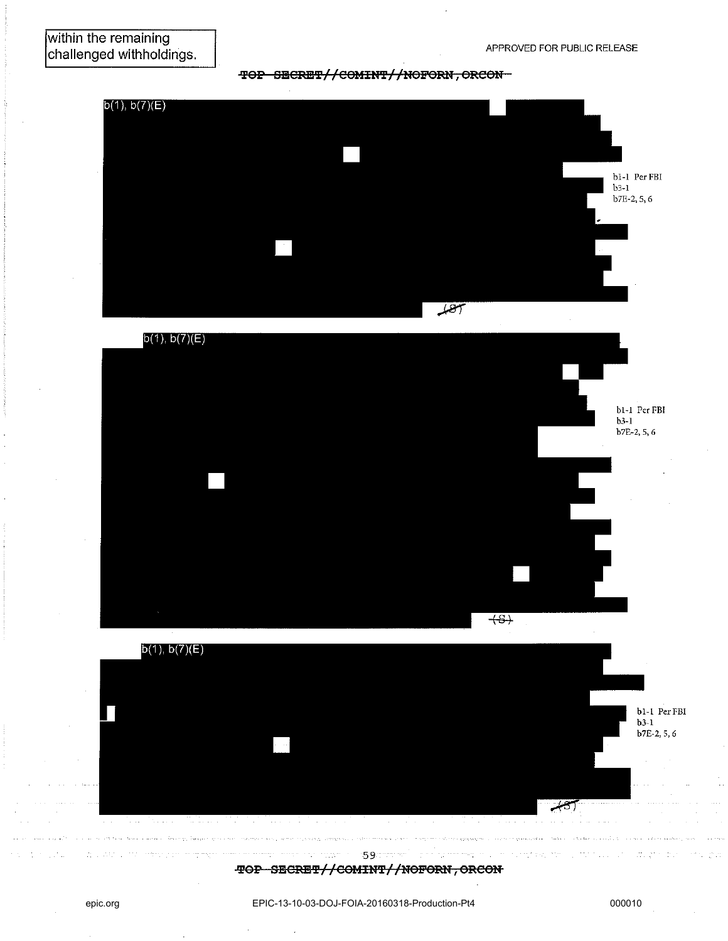

### **TOP SECRET//COMINT//NOFORN, ORCON-**



epic.org EPIC-13-10-03-DOJ-FOIA-20160318-Production-Pt4 000010

59 **TOP SECRET//COMINT//NOFORN, ORCON**   $\mathcal{O}(\mathbb{R}^2)$ 

آكاته

الموقان ويقام ووادي والمعامل المداني متعاقبا والمعاملة والمعامل

 $\mathcal{L}_{\mathcal{L}}^{\text{max}}$ 

بسيدا المتهدسة ببارا ورواد وربوب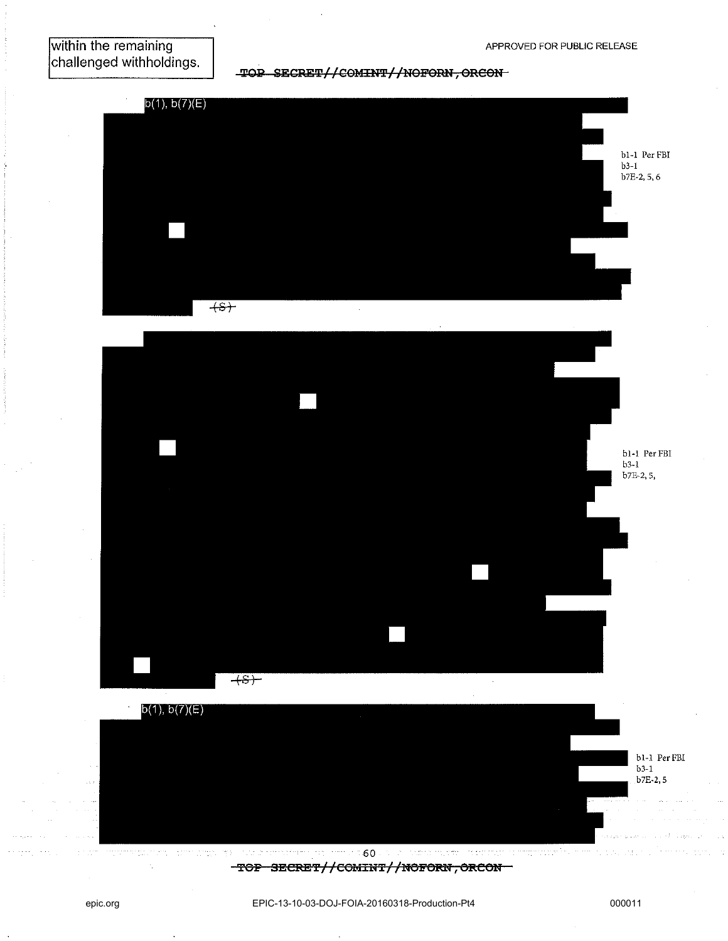TOP SECRET//COMINT//NOFORN, ORCON-







 $\mathcal{O}_{\mathcal{A}}$  -commutes as a policy  $\mathcal{O}_{\mathcal{A}}$  , and -60 -TOP SECRET//COMINT//NOFORN, ORCON-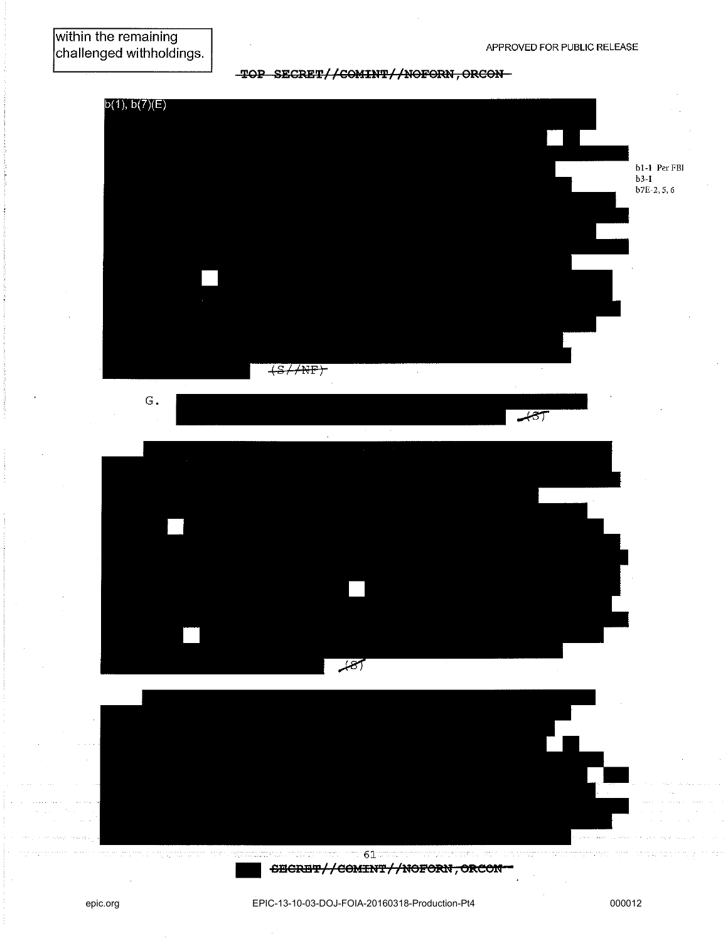# -TOP SECRET//COMINT//NOFORN, ORCON-